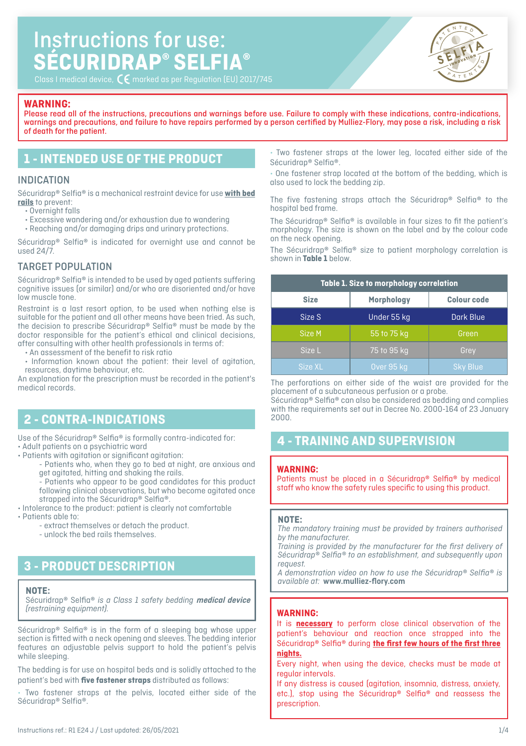# Instructions for use: **SÉCURIDRAP® SELFIA®**



Class I medical device,  $\overline{C}$  marked as per Regulation (EU) 2017/745

### **WARNING:**

Please read all of the instructions, precautions and warnings before use. Failure to comply with these indications, contra-indications, warnings and precautions, and failure to have repairs performed by a person certified by Mulliez-Flory, may pose a risk, including a risk of death for the patient.

### **1 - INTENDED USE OF THE PRODUCT**

### INDICATION

Sécuridrap® Selfia® is a mechanical restraint device for use **with bed rails** to prevent:

 $\overline{\cdot}$  Overnight falls

- Excessive wandering and/or exhaustion due to wandering
- Reaching and/or damaging drips and urinary protections.

Sécuridrap® Selfia® is indicated for overnight use and cannot be used 24/7.

### TARGET POPULATION

Sécuridrap® Selfia® is intended to be used by aged patients suffering cognitive issues (or similar) and/or who are disoriented and/or have low muscle tone.

Restraint is a last resort option, to be used when nothing else is suitable for the patient and all other means have been tried. As such, the decision to prescribe Sécuridrap® Selfia® must be made by the doctor responsible for the patient's ethical and clinical decisions, after consulting with other health professionals in terms of:

- An assessment of the benefit to risk ratio
- Information known about the patient: their level of agitation, resources, daytime behaviour, etc.

An explanation for the prescription must be recorded in the patient's medical records.

### **2 - CONTRA-INDICATIONS**

Use of the Sécuridrap® Selfia® is formally contra-indicated for: • Adult patients on a psychiatric ward

- Patients with agitation or significant agitation:
	- Patients who, when they go to bed at night, are anxious and get agitated, hitting and shaking the rails.
	- Patients who appear to be good candidates for this product following clinical observations, but who become agitated once strapped into the Sécuridrap® Selfia®.
- Intolerance to the product: patient is clearly not comfortable • Patients able to:
	- extract themselves or detach the product.
		- unlock the bed rails themselves.

# **3 - PRODUCT DESCRIPTION**

#### **NOTE:**

Sécuridrap® Selfia® *is a Class 1 safety bedding* **medical device** *(restraining equipment).*

Sécuridrap® Selfia® is in the form of a sleeping bag whose upper section is fitted with a neck opening and sleeves. The bedding interior features an adjustable pelvis support to hold the patient's pelvis while sleeping.

The bedding is for use on hospital beds and is solidly attached to the patient's bed with **five fastener straps** distributed as follows:

Two fastener straps at the pelvis, located either side of the Sécuridrap® Selfia®.

• Two fastener straps at the lower leg, located either side of the Sécuridrap® Selfia®.

One fastener strap located at the bottom of the bedding, which is also used to lock the bedding zip.

The five fastening straps attach the Sécuridrap® Selfia® to the hospital bed frame.

The Sécuridrap® Selfia® is available in four sizes to fit the patient's morphology. The size is shown on the label and by the colour code on the neck opening.

The Sécuridrap® Selfia® size to patient morphology correlation is shown in **Table 1** below.

| Table 1. Size to morphology correlation |                                  |                 |  |  |
|-----------------------------------------|----------------------------------|-----------------|--|--|
| <b>Size</b>                             | <b>Colour code</b><br>Morphology |                 |  |  |
| Size S                                  | Dark Blue<br>Under 55 kg         |                 |  |  |
| Size M                                  | 55 to 75 kg                      | Green           |  |  |
| Size L                                  | 75 to 95 kg                      | Grey            |  |  |
| Size XL                                 | Over 95 kg                       | <b>Sky Blue</b> |  |  |

The perforations on either side of the waist are provided for the placement of a subcutaneous perfusion or a probe.

Sécuridrap® Selfia® can also be considered as bedding and complies with the requirements set out in Decree No. 2000-164 of 23 January 2000.

## **4 - TRAINING AND SUPERVISION**

#### **WARNING:**

Patients must be placed in a Sécuridrap® Selfia® by medical staff who know the safety rules specific to using this product.

#### **NOTE:**

*The mandatory training must be provided by trainers authorised by the manufacturer.*

*Training is provided by the manufacturer for the first delivery of Sécuridrap® Selfia® to an establishment, and subsequently upon request.*

*A demonstration video on how to use the Sécuridrap® Selfia® is available at:* **www.mulliez-flory.com**

#### **WARNING:**

It is **necessary** to perform close clinical observation of the patient's behaviour and reaction once strapped into the Sécuridrap® Selfia® during **the first few hours of the first three nights.**

Every night, when using the device, checks must be made at regular intervals.

If any distress is caused (agitation, insomnia, distress, anxiety, etc.), stop using the Sécuridrap® Selfia® and reassess the prescription.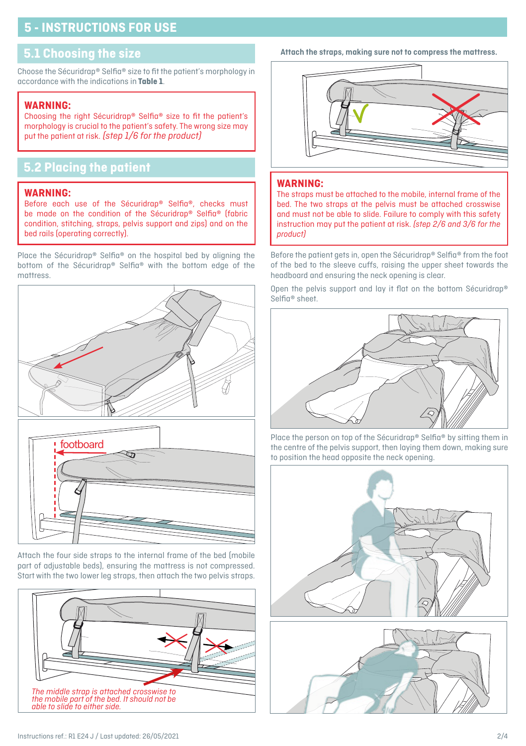# **5 - INSTRUCTIONS FOR USE**

### **5.1 Choosing the size**

Choose the Sécuridrap® Selfia® size to fit the patient's morphology in accordance with the indications in **Table 1**.

### **WARNING:**

Choosing the right Sécuridrap® Selfia® size to fit the patient's morphology is crucial to the patient's safety. The wrong size may put the patient at risk. *(step 1/6 for the product)*

# **5.2 Placing the patient**

#### **WARNING:**

Before each use of the Sécuridrap® Selfia®, checks must be made on the condition of the Sécuridrap® Selfia® (fabric condition, stitching, straps, pelvis support and zips) and on the bed rails (operating correctly).

Place the Sécuridrap® Selfia® on the hospital bed by aligning the bottom of the Sécuridrap® Selfia® with the bottom edge of the mattress.



Attach the four side straps to the internal frame of the bed (mobile part of adjustable beds), ensuring the mattress is not compressed. Start with the two lower leg straps, then attach the two pelvis straps.



**Attach the straps, making sure not to compress the mattress.**



### **WARNING:**

The straps must be attached to the mobile, internal frame of the bed. The two straps at the pelvis must be attached crosswise and must not be able to slide. Failure to comply with this safety instruction may put the patient at risk. *(step 2/6 and 3/6 for the product)*

Before the patient gets in, open the Sécuridrap® Selfia® from the foot of the bed to the sleeve cuffs, raising the upper sheet towards the headboard and ensuring the neck opening is clear.

Open the pelvis support and lay it flat on the bottom Sécuridrap® Selfia® sheet.



Place the person on top of the Sécuridrap® Selfia® by sitting them in the centre of the pelvis support, then laying them down, making sure to position the head opposite the neck opening.



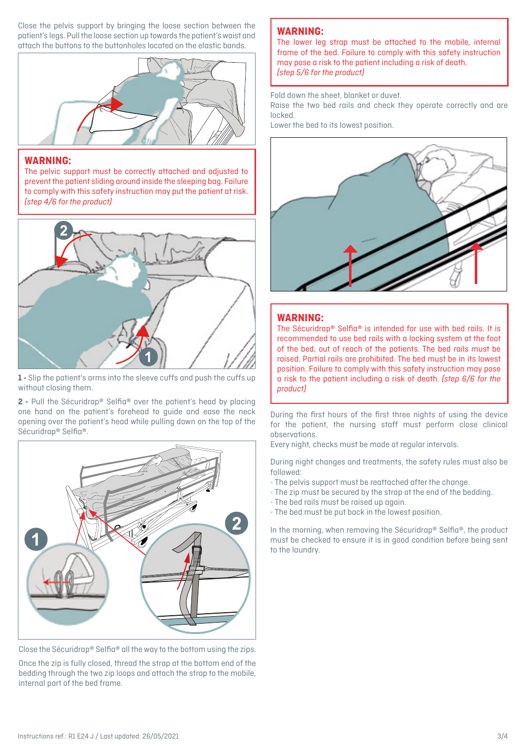Close the pelvis support by bringing the loose section between the patient's legs. Pull the loose section up towards the patient's waist and attach the buttons to the buttonholes located on the elastic bands.



### **WARNING:**

The pelvic support must be correctly attached and adjusted to prevent the patient sliding around inside the sleeping bag. Failure to comply with this safety instruction may put the patient at risk. *(step 4/6 for the product)*



**1 -** Slip the patient's arms into the sleeve cuffs and push the cuffs up without closing them.

**2 -** Pull the Sécuridrap® Selfia® over the patient's head by placing one hand on the patient's forehead to guide and ease the neck opening over the patient's head while pulling down on the top of the Sécuridrap® Selfia®.



Close the Sécuridrap® Selfia® all the way to the bottom using the zips.

Once the zip is fully closed, thread the strap at the bottom end of the bedding through the two zip loops and attach the strap to the mobile, internal part of the bed frame.

### **WARNING:**

The lower leg strap must be attached to the mobile, internal frame of the bed. Failure to comply with this safety instruction may pose a risk to the patient including a risk of death. *(step 5/6 for the product)*

Fold down the sheet, blanket or duvet.

Raise the two bed rails and check they operate correctly and are locked.

Lower the bed to its lowest position.



### **WARNING:**

The Sécuridrap® Selfia® is intended for use with bed rails. It is recommended to use bed rails with a locking system at the foot of the bed, out of reach of the patients. The bed rails must be raised. Partial rails are prohibited. The bed must be in its lowest position. Failure to comply with this safety instruction may pose a risk to the patient including a risk of death. *(step 6/6 for the product)*

During the first hours of the first three nights of using the device for the patient, the nursing staff must perform close clinical observations.

Every night, checks must be made at regular intervals.

During night changes and treatments, the safety rules must also be followed:

- The pelvis support must be reattached after the change.
- The zip must be secured by the strap at the end of the bedding.
- The bed rails must be raised up again.
- The bed must be put back in the lowest position.

In the morning, when removing the Sécuridrap® Selfia®, the product must be checked to ensure it is in good condition before being sent to the laundry.